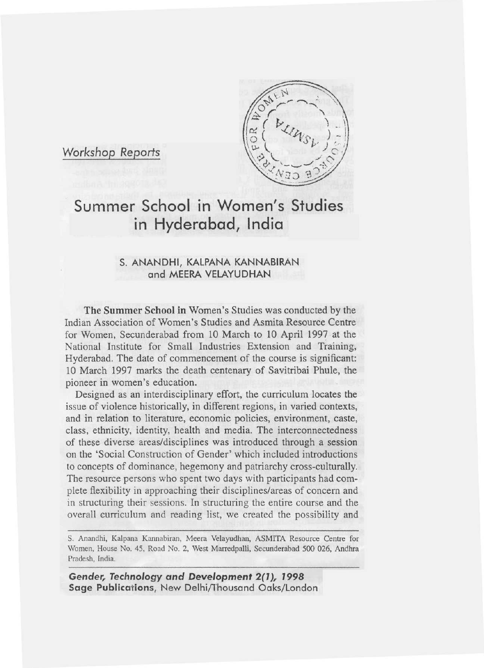Workshop Reports



## Summer School in Women's Studies in Hyderabad, India

## **S. ANANDHI, KALPANA KANNABIRAN and MEERA VELAYUDHAN**

The Summer School in Women's Studies was conducted by the Indian Association of Women's Studies and Asmita Resource Centre for Women, Secunderabad from 10 March to 10 April 1997 at the National Institute for Small Industries Extension and Training, Hyderabad. The date of commencement of the course is significant: 10 March 1997 marks the death centenary of Savitribai Phule, the pioneer in women's education.

Designed as an interdisciplinary effort, the curriculum locates the issue of violence historically, in different regions, in varied contexts, and in relation to literature, economic policies, environment, caste, class, ethnicity, identity, health and media. The interconnectedness of these diverse areas/disciplines was introduced through a session on the 'Social Construction of Gender' which included introductions to concepts of dominance, hegemony and patriarchy cross-culturally. The resource persons who spent two days with participants had complete flexibility in approaching their disciplines/areas of concern and in structuring their sessions. In structuring the entire course and the overall curriculum and reading list, we created the possibility and

S. Anandhi, Kalpana Kannabiran, Meera Velayudhan, ASMITA Resource Centre for Women, House No. 45, Road No. 2, West Marredpalli, Secunderabad 500 026, Andhra Pradesh, India.

**Gender, Technology and Development 2(1), 7998 Sage Publications,** New Delhi/Thousand Oaks/London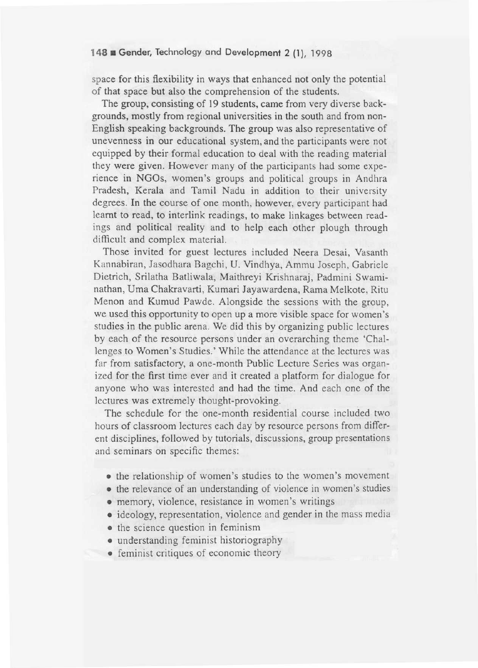## 148 **B** Gender, Technology and Development 2 (1), 1998

space for this flexibility in ways that enhanced not only the potential of that space but also the comprehension of the students.

The group, consisting of 19 students, came from very diverse backgrounds, mostly from regional universities in the south and from non-English speaking backgrounds. The group was also representative of unevenness in our educational system, and the participants were not equipped by their formal education to deal with the reading material they were given. However many of the participants had some experience in NGOs, women's groups and political groups in Andhra Pradesh, Kerala and Tamil Nadu in addition to their university degrees. In the course of one month, however, every participant had learnt to read, to interlink readings, to make linkages between readings and political reality and to help each other plough through difficult and complex material.

Those invited for guest lectures included Neera Desai, Vasanth Kannabiran, Jasodhara Bagchi, U. Vindhya, Ammu Joseph, Gabriele Dietrich, Srilatha Batliwala, Maithreyi Krishnaraj, Padmini Swaminathan, Uma Chakravarti, Kumari Jayawardena, Rama Melkote, Ritu Menon and Kumud Pawde. Alongside the sessions with the group, we used this opportunity to open up a more visible space for women's studies in the public arena. We did this by organizing public lectures by each of the resource persons under an overarching theme 'Challenges to Women's Studies.' While the attendance at the lectures was far from satisfactory, a one-month Public Lecture Series was organized for the first time ever and it created a platform for dialogue for anyone who was interested and had the time. And each one of the lectures was extremely thought-provoking.

The schedule for the one-month residential course included two hours of classroom lectures each day by resource persons from different disciplines, followed by tutorials, discussions, group presentations and seminars on specific themes:

- the relationship of women's studies to the women's movement
- the relevance of an understanding of violence in women's studies
- memory, violence, resistance in women's writings
- ideology, representation, violence and gender in the mass media
- the science question in feminism
- understanding feminist historiography
- feminist critiques of economic theory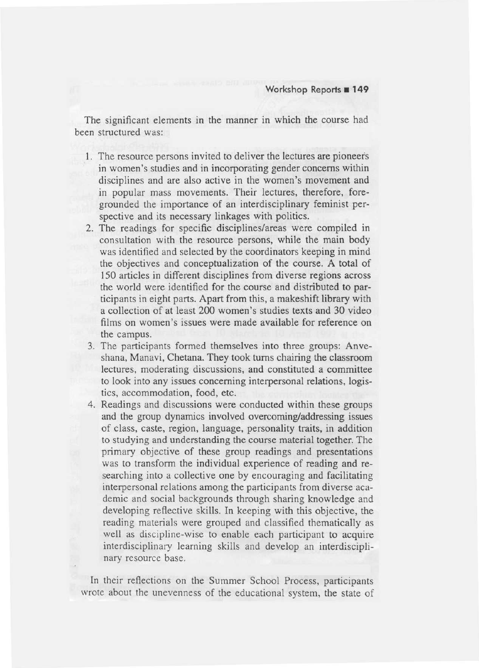The significant elements in the manner in which the course had been structured was:

- 1. The resource persons invited to deliver the lectures are pioneers in women's studies and in incorporating gender concerns within disciplines and are also active in the women's movement and in popular mass movements. Their lectures, therefore, foregrounded the importance of an interdisciplinary feminist perspective and its necessary linkages with politics.
- 2. The readings for specific disciplines/areas were compiled in consultation with the resource persons, while the main body was identified and selected by the coordinators keeping in mind the objectives and conceptualization of the course. A total of 150 articles in different disciplines from diverse regions across the world were identified for the course and distributed to participants in eight parts. Apart from this, a makeshift library with a collection of at least 200 women's studies texts and 30 video films on women's issues were made available for reference on the campus.
- 3. The participants formed themselves into three groups: Anveshana, Manavi, Chetana. They took turns chairing the classroom lectures, moderating discussions, and constituted a committee to look into any issues concerning interpersonal relations, logistics, accommodation, food, etc.
- 4. Readings and discussions were conducted within these groups and the group dynamics involved overcoming/addressing issues of class, caste, region, language, personality traits, in addition to studying and understanding the course material together. The primary objective of these group readings and presentations was to transform the individual experience of reading and researching into a collective one by encouraging and facilitating interpersonal relations among the participants from diverse academic and social backgrounds through sharing knowledge and developing reflective skills. In keeping with this objective, the reading materials were grouped and classified thematically as well as discipline-wise to enable each participant to acquire interdisciplinary learning skills and develop an interdisciplinary resource base.

In their reflections on the Summer School Process, participants wrote about the unevenness of the educational system, the state of